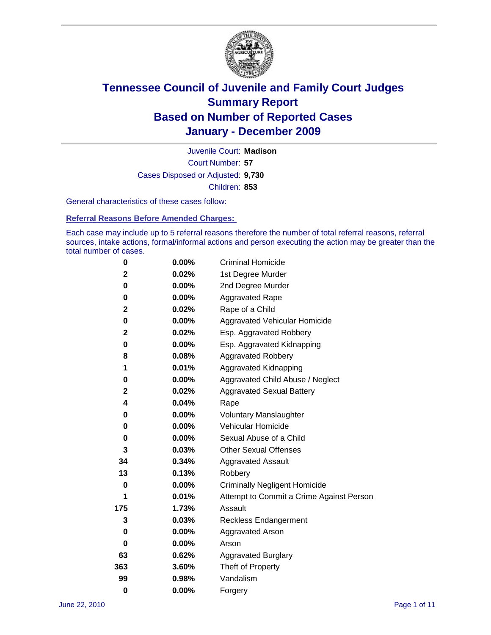

Court Number: **57** Juvenile Court: **Madison** Cases Disposed or Adjusted: **9,730** Children: **853**

General characteristics of these cases follow:

**Referral Reasons Before Amended Charges:** 

Each case may include up to 5 referral reasons therefore the number of total referral reasons, referral sources, intake actions, formal/informal actions and person executing the action may be greater than the total number of cases.

| 0        | $0.00\%$ | <b>Criminal Homicide</b>                 |
|----------|----------|------------------------------------------|
| 2        | 0.02%    | 1st Degree Murder                        |
| 0        | $0.00\%$ | 2nd Degree Murder                        |
| 0        | $0.00\%$ | <b>Aggravated Rape</b>                   |
| 2        | 0.02%    | Rape of a Child                          |
| 0        | 0.00%    | Aggravated Vehicular Homicide            |
| 2        | 0.02%    | Esp. Aggravated Robbery                  |
| 0        | $0.00\%$ | Esp. Aggravated Kidnapping               |
| 8        | 0.08%    | <b>Aggravated Robbery</b>                |
| 1        | 0.01%    | Aggravated Kidnapping                    |
| 0        | 0.00%    | Aggravated Child Abuse / Neglect         |
| 2        | 0.02%    | <b>Aggravated Sexual Battery</b>         |
| 4        | 0.04%    | Rape                                     |
| 0        | $0.00\%$ | <b>Voluntary Manslaughter</b>            |
| 0        | 0.00%    | Vehicular Homicide                       |
| 0        | 0.00%    | Sexual Abuse of a Child                  |
| 3        | 0.03%    | <b>Other Sexual Offenses</b>             |
| 34       | 0.34%    | <b>Aggravated Assault</b>                |
| 13       | 0.13%    | Robbery                                  |
| $\bf{0}$ | 0.00%    | <b>Criminally Negligent Homicide</b>     |
| 1        | 0.01%    | Attempt to Commit a Crime Against Person |
| 175      | 1.73%    | Assault                                  |
| 3        | 0.03%    | <b>Reckless Endangerment</b>             |
| 0        | 0.00%    | <b>Aggravated Arson</b>                  |
| 0        | 0.00%    | Arson                                    |
| 63       | 0.62%    | <b>Aggravated Burglary</b>               |
| 363      | 3.60%    | Theft of Property                        |
| 99       | 0.98%    | Vandalism                                |
| $\bf{0}$ | 0.00%    | Forgery                                  |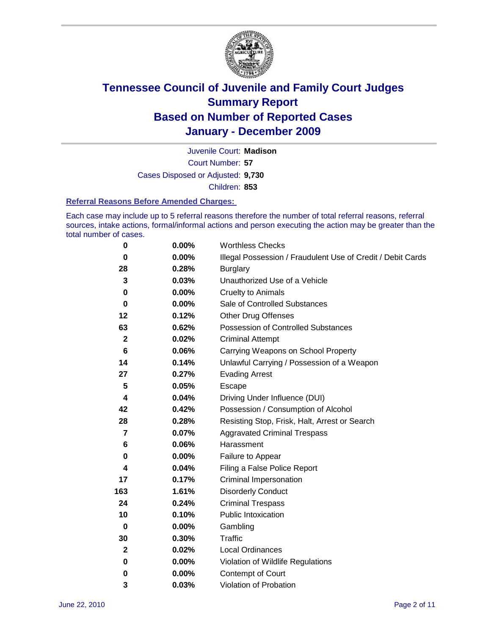

Court Number: **57** Juvenile Court: **Madison** Cases Disposed or Adjusted: **9,730** Children: **853**

#### **Referral Reasons Before Amended Charges:**

Each case may include up to 5 referral reasons therefore the number of total referral reasons, referral sources, intake actions, formal/informal actions and person executing the action may be greater than the total number of cases.

| $\pmb{0}$    | 0.00%    | <b>Worthless Checks</b>                                     |
|--------------|----------|-------------------------------------------------------------|
| 0            | $0.00\%$ | Illegal Possession / Fraudulent Use of Credit / Debit Cards |
| 28           | 0.28%    | <b>Burglary</b>                                             |
| 3            | 0.03%    | Unauthorized Use of a Vehicle                               |
| 0            | $0.00\%$ | <b>Cruelty to Animals</b>                                   |
| $\bf{0}$     | $0.00\%$ | Sale of Controlled Substances                               |
| 12           | 0.12%    | <b>Other Drug Offenses</b>                                  |
| 63           | 0.62%    | Possession of Controlled Substances                         |
| $\mathbf{2}$ | 0.02%    | <b>Criminal Attempt</b>                                     |
| 6            | 0.06%    | Carrying Weapons on School Property                         |
| 14           | 0.14%    | Unlawful Carrying / Possession of a Weapon                  |
| 27           | 0.27%    | <b>Evading Arrest</b>                                       |
| 5            | 0.05%    | Escape                                                      |
| 4            | 0.04%    | Driving Under Influence (DUI)                               |
| 42           | 0.42%    | Possession / Consumption of Alcohol                         |
| 28           | 0.28%    | Resisting Stop, Frisk, Halt, Arrest or Search               |
| 7            | 0.07%    | <b>Aggravated Criminal Trespass</b>                         |
| 6            | 0.06%    | Harassment                                                  |
| 0            | 0.00%    | Failure to Appear                                           |
| 4            | 0.04%    | Filing a False Police Report                                |
| 17           | 0.17%    | Criminal Impersonation                                      |
| 163          | 1.61%    | <b>Disorderly Conduct</b>                                   |
| 24           | 0.24%    | <b>Criminal Trespass</b>                                    |
| 10           | 0.10%    | <b>Public Intoxication</b>                                  |
| $\mathbf 0$  | 0.00%    | Gambling                                                    |
| 30           | 0.30%    | <b>Traffic</b>                                              |
| $\mathbf{2}$ | 0.02%    | Local Ordinances                                            |
| 0            | 0.00%    | Violation of Wildlife Regulations                           |
| 0            | $0.00\%$ | Contempt of Court                                           |
| 3            | 0.03%    | Violation of Probation                                      |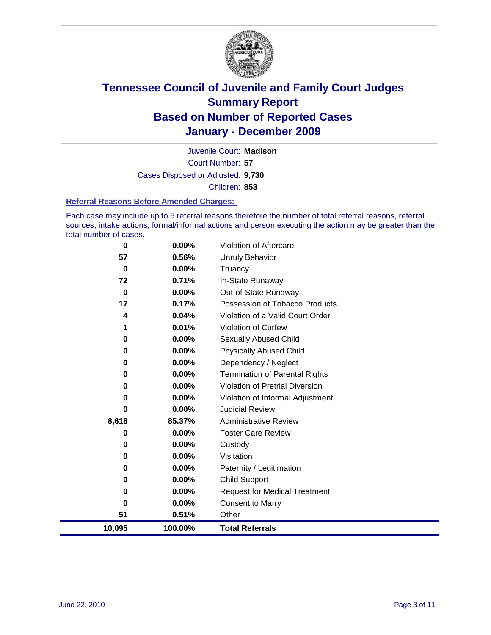

Court Number: **57** Juvenile Court: **Madison** Cases Disposed or Adjusted: **9,730** Children: **853**

#### **Referral Reasons Before Amended Charges:**

Each case may include up to 5 referral reasons therefore the number of total referral reasons, referral sources, intake actions, formal/informal actions and person executing the action may be greater than the total number of cases.

| 0        | 0.00%    | Violation of Aftercare                 |
|----------|----------|----------------------------------------|
| 57       | 0.56%    | <b>Unruly Behavior</b>                 |
| 0        | $0.00\%$ | Truancy                                |
| 72       | 0.71%    | In-State Runaway                       |
| $\bf{0}$ | 0.00%    | Out-of-State Runaway                   |
| 17       | 0.17%    | Possession of Tobacco Products         |
| 4        | 0.04%    | Violation of a Valid Court Order       |
| 1        | 0.01%    | Violation of Curfew                    |
| 0        | 0.00%    | Sexually Abused Child                  |
| 0        | 0.00%    | <b>Physically Abused Child</b>         |
| $\bf{0}$ | 0.00%    | Dependency / Neglect                   |
| 0        | 0.00%    | <b>Termination of Parental Rights</b>  |
| 0        | 0.00%    | <b>Violation of Pretrial Diversion</b> |
| 0        | 0.00%    | Violation of Informal Adjustment       |
| 0        | 0.00%    | <b>Judicial Review</b>                 |
| 8,618    | 85.37%   | <b>Administrative Review</b>           |
| 0        | 0.00%    | <b>Foster Care Review</b>              |
| 0        | 0.00%    | Custody                                |
| 0        | 0.00%    | Visitation                             |
| 0        | 0.00%    | Paternity / Legitimation               |
| 0        | 0.00%    | <b>Child Support</b>                   |
| 0        | 0.00%    | <b>Request for Medical Treatment</b>   |
| 0        | 0.00%    | <b>Consent to Marry</b>                |
| 51       | 0.51%    | Other                                  |
| 10,095   | 100.00%  | <b>Total Referrals</b>                 |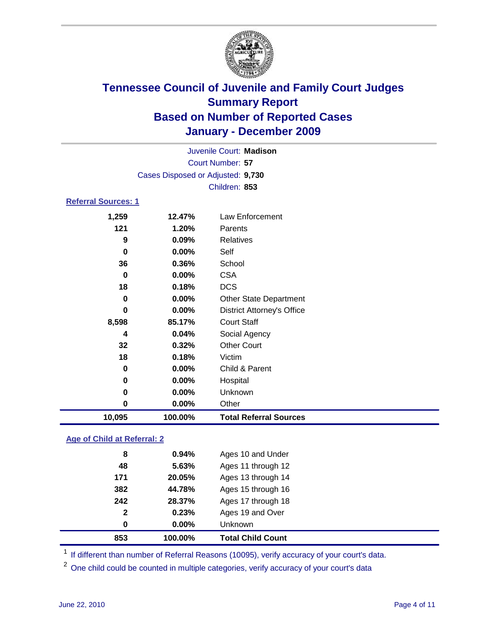

|                            | Juvenile Court: Madison           |                                   |  |  |
|----------------------------|-----------------------------------|-----------------------------------|--|--|
|                            | Court Number: 57                  |                                   |  |  |
|                            | Cases Disposed or Adjusted: 9,730 |                                   |  |  |
|                            | Children: 853                     |                                   |  |  |
| <b>Referral Sources: 1</b> |                                   |                                   |  |  |
| 1,259                      | 12.47%                            | <b>Law Enforcement</b>            |  |  |
| 121                        | 1.20%                             | Parents                           |  |  |
| 9                          | 0.09%                             | <b>Relatives</b>                  |  |  |
| $\mathbf 0$                | 0.00%                             | Self                              |  |  |
| 36                         | 0.36%                             | School                            |  |  |
| 0                          | 0.00%                             | <b>CSA</b>                        |  |  |
| 18                         | 0.18%                             | <b>DCS</b>                        |  |  |
| $\bf{0}$                   | 0.00%                             | <b>Other State Department</b>     |  |  |
| $\bf{0}$                   | 0.00%                             | <b>District Attorney's Office</b> |  |  |
| 8,598                      | 85.17%                            | <b>Court Staff</b>                |  |  |
| 4                          | 0.04%                             | Social Agency                     |  |  |
| 32                         | 0.32%                             | <b>Other Court</b>                |  |  |
| 18                         | 0.18%                             | Victim                            |  |  |
| 0                          | 0.00%                             | Child & Parent                    |  |  |
| 0                          | 0.00%                             | Hospital                          |  |  |
| 0                          | 0.00%                             | Unknown                           |  |  |
| $\mathbf 0$                | 0.00%                             | Other                             |  |  |
| 10,095                     | 100.00%                           | <b>Total Referral Sources</b>     |  |  |
|                            |                                   |                                   |  |  |

### **Age of Child at Referral: 2**

| $\mathbf{2}$<br>0 | 0.23%<br>$0.00\%$ | Ages 19 and Over<br><b>Unknown</b> |
|-------------------|-------------------|------------------------------------|
|                   |                   |                                    |
|                   |                   |                                    |
| 242               | 28.37%            | Ages 17 through 18                 |
| 382               | 44.78%            | Ages 15 through 16                 |
| 171               | 20.05%            | Ages 13 through 14                 |
| 48                | 5.63%             | Ages 11 through 12                 |
| 8                 | 0.94%             | Ages 10 and Under                  |
|                   |                   |                                    |

<sup>1</sup> If different than number of Referral Reasons (10095), verify accuracy of your court's data.

<sup>2</sup> One child could be counted in multiple categories, verify accuracy of your court's data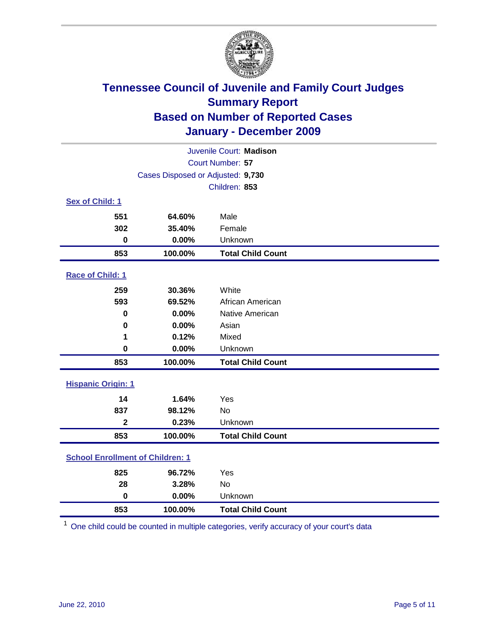

| Juvenile Court: Madison                 |                                   |                          |  |  |
|-----------------------------------------|-----------------------------------|--------------------------|--|--|
|                                         | Court Number: 57                  |                          |  |  |
|                                         | Cases Disposed or Adjusted: 9,730 |                          |  |  |
|                                         |                                   | Children: 853            |  |  |
| Sex of Child: 1                         |                                   |                          |  |  |
| 551                                     | 64.60%                            | Male                     |  |  |
| 302                                     | 35.40%                            | Female                   |  |  |
| $\bf{0}$                                | 0.00%                             | Unknown                  |  |  |
| 853                                     | 100.00%                           | <b>Total Child Count</b> |  |  |
| Race of Child: 1                        |                                   |                          |  |  |
| 259                                     | 30.36%                            | White                    |  |  |
| 593                                     | 69.52%                            | African American         |  |  |
| 0                                       | 0.00%                             | Native American          |  |  |
| 0                                       | 0.00%                             | Asian                    |  |  |
| 1                                       | 0.12%                             | Mixed                    |  |  |
| $\mathbf 0$                             | 0.00%                             | Unknown                  |  |  |
| 853                                     | 100.00%                           | <b>Total Child Count</b> |  |  |
| <b>Hispanic Origin: 1</b>               |                                   |                          |  |  |
| 14                                      | 1.64%                             | Yes                      |  |  |
| 837                                     | 98.12%                            | <b>No</b>                |  |  |
| $\overline{2}$                          | 0.23%                             | Unknown                  |  |  |
| 853                                     | 100.00%                           | <b>Total Child Count</b> |  |  |
| <b>School Enrollment of Children: 1</b> |                                   |                          |  |  |
| 825                                     | 96.72%                            | Yes                      |  |  |
| 28                                      | 3.28%                             | <b>No</b>                |  |  |
| $\mathbf 0$                             | 0.00%                             | Unknown                  |  |  |
| 853                                     | 100.00%                           | <b>Total Child Count</b> |  |  |

One child could be counted in multiple categories, verify accuracy of your court's data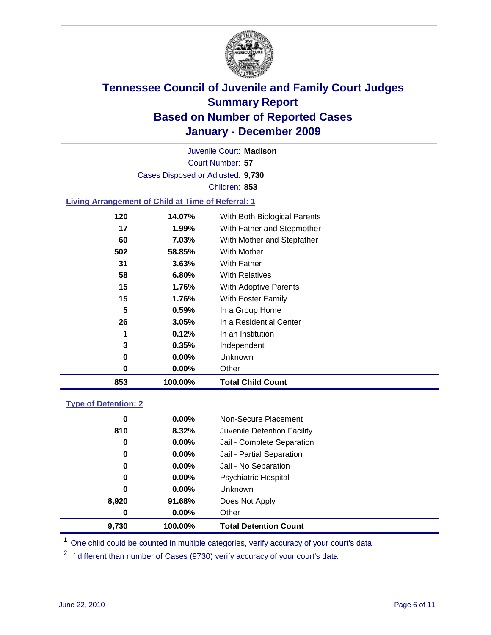

Court Number: **57** Juvenile Court: **Madison** Cases Disposed or Adjusted: **9,730** Children: **853**

### **Living Arrangement of Child at Time of Referral: 1**

| 853 | 100.00%  | <b>Total Child Count</b>     |
|-----|----------|------------------------------|
| 0   | 0.00%    | Other                        |
| 0   | $0.00\%$ | Unknown                      |
| 3   | 0.35%    | Independent                  |
| 1   | 0.12%    | In an Institution            |
| 26  | 3.05%    | In a Residential Center      |
| 5   | 0.59%    | In a Group Home              |
| 15  | 1.76%    | With Foster Family           |
| 15  | 1.76%    | With Adoptive Parents        |
| 58  | 6.80%    | <b>With Relatives</b>        |
| 31  | 3.63%    | <b>With Father</b>           |
| 502 | 58.85%   | With Mother                  |
| 60  | 7.03%    | With Mother and Stepfather   |
| 17  | 1.99%    | With Father and Stepmother   |
| 120 | 14.07%   | With Both Biological Parents |
|     |          |                              |

### **Type of Detention: 2**

| 9,730    | 100.00%  | <b>Total Detention Count</b> |
|----------|----------|------------------------------|
| $\bf{0}$ | $0.00\%$ | Other                        |
| 8,920    | 91.68%   | Does Not Apply               |
| 0        | $0.00\%$ | Unknown                      |
| 0        | $0.00\%$ | <b>Psychiatric Hospital</b>  |
| 0        | 0.00%    | Jail - No Separation         |
| 0        | $0.00\%$ | Jail - Partial Separation    |
| 0        | 0.00%    | Jail - Complete Separation   |
| 810      | 8.32%    | Juvenile Detention Facility  |
| 0        | $0.00\%$ | Non-Secure Placement         |
|          |          |                              |

<sup>1</sup> One child could be counted in multiple categories, verify accuracy of your court's data

<sup>2</sup> If different than number of Cases (9730) verify accuracy of your court's data.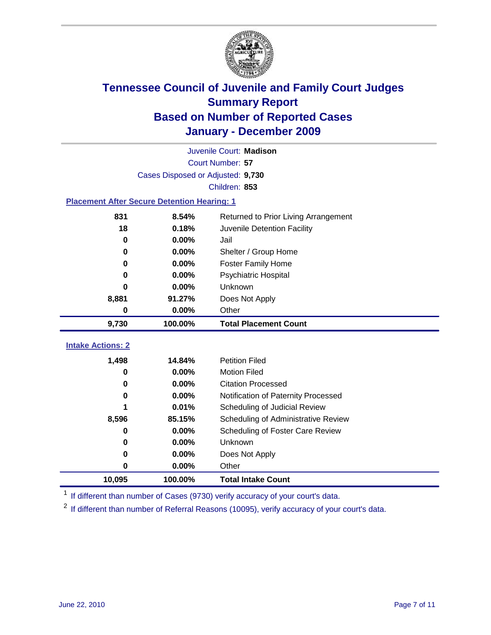

|                                                    | Juvenile Court: Madison           |                                      |  |  |  |
|----------------------------------------------------|-----------------------------------|--------------------------------------|--|--|--|
|                                                    | Court Number: 57                  |                                      |  |  |  |
|                                                    | Cases Disposed or Adjusted: 9,730 |                                      |  |  |  |
|                                                    |                                   | Children: 853                        |  |  |  |
| <b>Placement After Secure Detention Hearing: 1</b> |                                   |                                      |  |  |  |
| 831                                                | 8.54%                             | Returned to Prior Living Arrangement |  |  |  |
| 18                                                 | 0.18%                             | Juvenile Detention Facility          |  |  |  |
| $\bf{0}$                                           | 0.00%                             | Jail                                 |  |  |  |
| 0                                                  | 0.00%                             | Shelter / Group Home                 |  |  |  |
| $\mathbf 0$                                        | 0.00%                             | Foster Family Home                   |  |  |  |
| 0                                                  | 0.00%                             | Psychiatric Hospital                 |  |  |  |
| 0                                                  | 0.00%                             | Unknown                              |  |  |  |
| 8,881                                              | 91.27%                            | Does Not Apply                       |  |  |  |
| $\mathbf 0$                                        | $0.00\%$                          | Other                                |  |  |  |
| 9,730                                              | 100.00%                           | <b>Total Placement Count</b>         |  |  |  |
| <b>Intake Actions: 2</b>                           |                                   |                                      |  |  |  |
|                                                    |                                   |                                      |  |  |  |
| 1,498                                              | 14.84%                            | <b>Petition Filed</b>                |  |  |  |
| 0                                                  | 0.00%                             | <b>Motion Filed</b>                  |  |  |  |
| 0                                                  | 0.00%                             | <b>Citation Processed</b>            |  |  |  |
| 0                                                  | 0.00%                             | Notification of Paternity Processed  |  |  |  |
| 1                                                  | 0.01%                             | Scheduling of Judicial Review        |  |  |  |
| 8,596                                              | 85.15%                            | Scheduling of Administrative Review  |  |  |  |
| 0                                                  | 0.00%                             | Scheduling of Foster Care Review     |  |  |  |
| 0                                                  | 0.00%                             | <b>Unknown</b>                       |  |  |  |
| 0                                                  | 0.00%                             | Does Not Apply                       |  |  |  |
| 0                                                  | 0.00%                             | Other                                |  |  |  |
| 10,095                                             | 100.00%                           | <b>Total Intake Count</b>            |  |  |  |

<sup>1</sup> If different than number of Cases (9730) verify accuracy of your court's data.

<sup>2</sup> If different than number of Referral Reasons (10095), verify accuracy of your court's data.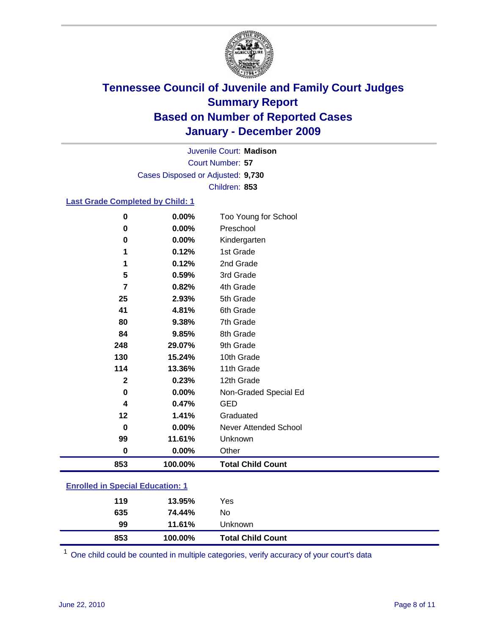

Court Number: **57** Juvenile Court: **Madison** Cases Disposed or Adjusted: **9,730** Children: **853**

### **Last Grade Completed by Child: 1**

| $\bf{0}$                                | 0.00%    | Too Young for School         |
|-----------------------------------------|----------|------------------------------|
| $\bf{0}$                                | 0.00%    | Preschool                    |
| 0                                       | 0.00%    | Kindergarten                 |
| 1                                       | 0.12%    | 1st Grade                    |
| 1                                       | 0.12%    | 2nd Grade                    |
| 5                                       | 0.59%    | 3rd Grade                    |
| 7                                       | 0.82%    | 4th Grade                    |
| 25                                      | 2.93%    | 5th Grade                    |
| 41                                      | 4.81%    | 6th Grade                    |
| 80                                      | 9.38%    | 7th Grade                    |
| 84                                      | 9.85%    | 8th Grade                    |
| 248                                     | 29.07%   | 9th Grade                    |
| 130                                     | 15.24%   | 10th Grade                   |
| 114                                     | 13.36%   | 11th Grade                   |
| $\mathbf{2}$                            | 0.23%    | 12th Grade                   |
| 0                                       | 0.00%    | Non-Graded Special Ed        |
| 4                                       | 0.47%    | <b>GED</b>                   |
| 12                                      | 1.41%    | Graduated                    |
| 0                                       | 0.00%    | <b>Never Attended School</b> |
| 99                                      | 11.61%   | Unknown                      |
| $\bf{0}$                                | $0.00\%$ | Other                        |
| 853                                     | 100.00%  | <b>Total Child Count</b>     |
| <b>Enrolled in Special Education: 1</b> |          |                              |

| 853 | 100.00% | <b>Total Child Count</b> |
|-----|---------|--------------------------|
| 99  | 11.61%  | Unknown                  |
| 635 | 74.44%  | No                       |
| 119 | 13.95%  | Yes                      |
|     |         |                          |

One child could be counted in multiple categories, verify accuracy of your court's data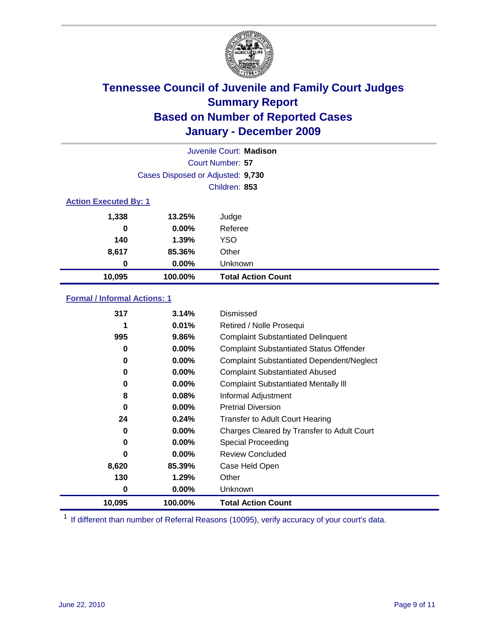

|                              | Juvenile Court: Madison           |                           |  |  |
|------------------------------|-----------------------------------|---------------------------|--|--|
|                              | Court Number: 57                  |                           |  |  |
|                              | Cases Disposed or Adjusted: 9,730 |                           |  |  |
|                              |                                   | Children: 853             |  |  |
| <b>Action Executed By: 1</b> |                                   |                           |  |  |
| 1,338                        | 13.25%                            | Judge                     |  |  |
| 0                            | $0.00\%$                          | Referee                   |  |  |
| 140                          | 1.39%                             | <b>YSO</b>                |  |  |
| 8,617                        | 85.36%                            | Other                     |  |  |
| 0                            | 0.00%                             | Unknown                   |  |  |
| 10,095                       | 100.00%                           | <b>Total Action Count</b> |  |  |

### **Formal / Informal Actions: 1**

| 317    | 3.14%    | Dismissed                                        |
|--------|----------|--------------------------------------------------|
|        | 0.01%    | Retired / Nolle Prosequi                         |
| 995    | 9.86%    | <b>Complaint Substantiated Delinquent</b>        |
| 0      | $0.00\%$ | <b>Complaint Substantiated Status Offender</b>   |
| 0      | $0.00\%$ | <b>Complaint Substantiated Dependent/Neglect</b> |
| 0      | $0.00\%$ | <b>Complaint Substantiated Abused</b>            |
| 0      | $0.00\%$ | <b>Complaint Substantiated Mentally III</b>      |
| 8      | 0.08%    | Informal Adjustment                              |
| 0      | $0.00\%$ | <b>Pretrial Diversion</b>                        |
| 24     | 0.24%    | <b>Transfer to Adult Court Hearing</b>           |
| 0      | $0.00\%$ | Charges Cleared by Transfer to Adult Court       |
| 0      | $0.00\%$ | <b>Special Proceeding</b>                        |
| O      | $0.00\%$ | <b>Review Concluded</b>                          |
| 8,620  | 85.39%   | Case Held Open                                   |
| 130    | 1.29%    | Other                                            |
| 0      | $0.00\%$ | <b>Unknown</b>                                   |
| 10,095 | 100.00%  | <b>Total Action Count</b>                        |

<sup>1</sup> If different than number of Referral Reasons (10095), verify accuracy of your court's data.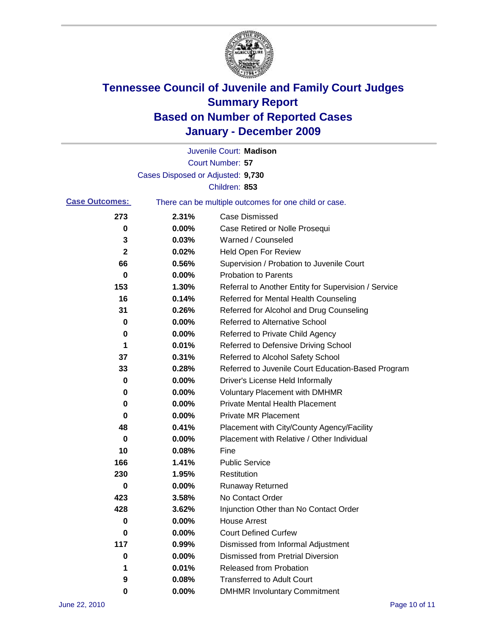

|                       |                                   | Juvenile Court: Madison                               |
|-----------------------|-----------------------------------|-------------------------------------------------------|
|                       |                                   | Court Number: 57                                      |
|                       | Cases Disposed or Adjusted: 9,730 |                                                       |
|                       |                                   | Children: 853                                         |
| <b>Case Outcomes:</b> |                                   | There can be multiple outcomes for one child or case. |
| 273                   | 2.31%                             | <b>Case Dismissed</b>                                 |
| 0                     | 0.00%                             | Case Retired or Nolle Prosequi                        |
| 3                     | 0.03%                             | Warned / Counseled                                    |
| $\mathbf 2$           | 0.02%                             | <b>Held Open For Review</b>                           |
| 66                    | 0.56%                             | Supervision / Probation to Juvenile Court             |
| 0                     | 0.00%                             | <b>Probation to Parents</b>                           |
| 153                   | 1.30%                             | Referral to Another Entity for Supervision / Service  |
| 16                    | 0.14%                             | Referred for Mental Health Counseling                 |
| 31                    | 0.26%                             | Referred for Alcohol and Drug Counseling              |
| 0                     | 0.00%                             | <b>Referred to Alternative School</b>                 |
| 0                     | 0.00%                             | Referred to Private Child Agency                      |
| 1                     | 0.01%                             | Referred to Defensive Driving School                  |
| 37                    | 0.31%                             | Referred to Alcohol Safety School                     |
| 33                    | 0.28%                             | Referred to Juvenile Court Education-Based Program    |
| 0                     | 0.00%                             | Driver's License Held Informally                      |
| 0                     | 0.00%                             | <b>Voluntary Placement with DMHMR</b>                 |
| 0                     | 0.00%                             | <b>Private Mental Health Placement</b>                |
| 0                     | 0.00%                             | <b>Private MR Placement</b>                           |
| 48                    | 0.41%                             | Placement with City/County Agency/Facility            |
| 0                     | 0.00%                             | Placement with Relative / Other Individual            |
| 10                    | 0.08%                             | Fine                                                  |
| 166                   | 1.41%                             | <b>Public Service</b>                                 |
| 230                   | 1.95%                             | Restitution                                           |
| 0                     | 0.00%                             | <b>Runaway Returned</b>                               |
| 423                   | 3.58%                             | No Contact Order                                      |
| 428                   | 3.62%                             | Injunction Other than No Contact Order                |
| 0                     | 0.00%                             | <b>House Arrest</b>                                   |
| 0                     | 0.00%                             | <b>Court Defined Curfew</b>                           |
| 117                   | 0.99%                             | Dismissed from Informal Adjustment                    |
| 0                     | 0.00%                             | <b>Dismissed from Pretrial Diversion</b>              |
| 1                     | 0.01%                             | <b>Released from Probation</b>                        |
| 9                     | 0.08%                             | <b>Transferred to Adult Court</b>                     |
| 0                     | $0.00\%$                          | <b>DMHMR Involuntary Commitment</b>                   |